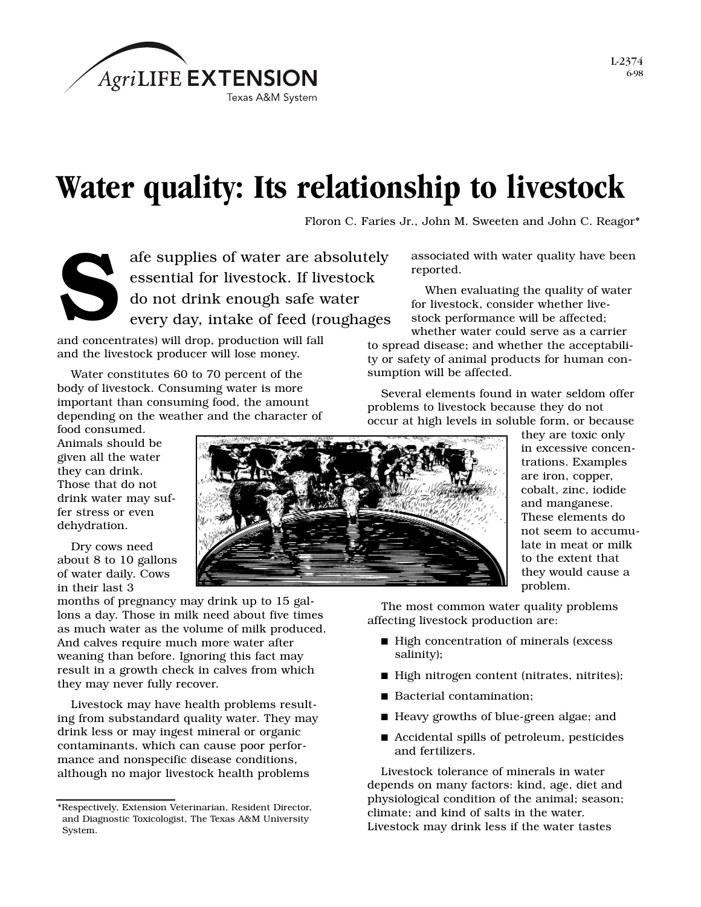

## **Water quality: Its relationship to livestock**

Floron C. Faries Jr., John M. Sweeten and John C. Reagor\*



afe supplies of water are absolutely essential for livestock. If livestock do not drink enough safe water<br>every day, intake of feed (roughages

and concentrates) will drop, production will fall and the livestock producer will lose money.

Water constitutes 60 to 70 percent of the body of livestock. Consuming water is more important than consuming food, the amount depending on the weather and the character of

food consumed. Animals should be given all the water they can drink. Those that do not drink water may suffer stress or even dehydration.

Dry cows need about 8 to 10 gallons of water daily. Cows in their last 3

months of pregnancy may drink up to 15 gallons a day. Those in milk need about five times as much water as the volume of milk produced. And calves require much more water after weaning than before. Ignoring this fact may result in a growth check in calves from which they may never fully recover.

Livestock may have health problems resulting from substandard quality water. They may drink less or may ingest mineral or organic contaminants, which can cause poor performance and nonspecific disease conditions, although no major livestock health problems



associated with water quality have been reported.

When evaluating the quality of water for livestock, consider whether livestock performance will be affected;

whether water could serve as a carrier to spread disease; and whether the acceptability or safety of animal products for human consumption will be affected.

Several elements found in water seldom offer problems to livestock because they do not occur at high levels in soluble form, or because

> they are toxic only in excessive concentrations. Examples are iron, copper, cobalt, zinc, iodide and manganese. These elements do not seem to accumulate in meat or milk to the extent that they would cause a problem.

The most common water quality problems affecting livestock production are:

- High concentration of minerals (excess salinity);
- High nitrogen content (nitrates, nitrites);
- Bacterial contamination;
- Heavy growths of blue-green algae; and
- Accidental spills of petroleum, pesticides and fertilizers.

Livestock tolerance of minerals in water depends on many factors: kind, age, diet and physiological condition of the animal; season; climate; and kind of salts in the water. Livestock may drink less if the water tastes

<sup>\*</sup>Respectively, Extension Veterinarian, Resident Director, and Diagnostic Toxicologist, The Texas A&M University System.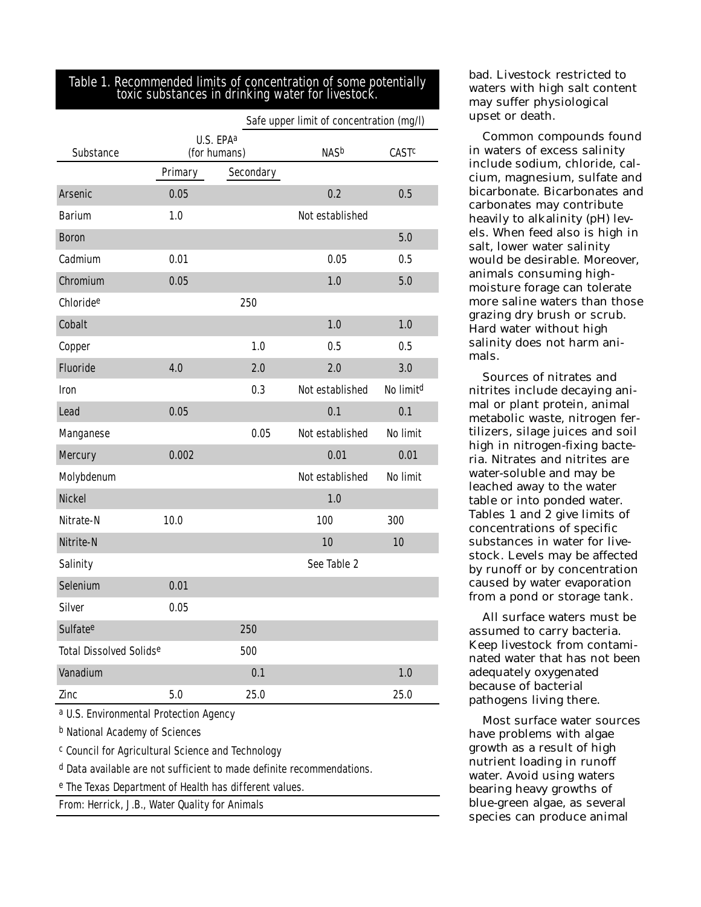## Table 1. Recommended limits of concentration of some potentially toxic substances in drinking water for livestock.

|                                |                                       |           | Safe upper limit of concentration (mg/l) |                         |
|--------------------------------|---------------------------------------|-----------|------------------------------------------|-------------------------|
| <b>Substance</b>               | U.S. EPA <sup>a</sup><br>(for humans) |           | <b>NASb</b>                              | <b>CAST<sup>c</sup></b> |
|                                | Primary                               | Secondary |                                          |                         |
| <b>Arsenic</b>                 | 0.05                                  |           | 0.2                                      | 0.5                     |
| <b>Barium</b>                  | 1.0                                   |           | Not established                          |                         |
| <b>Boron</b>                   |                                       |           |                                          | 5.0                     |
| Cadmium                        | 0.01                                  |           | 0.05                                     | 0.5                     |
| <b>Chromium</b>                | 0.05                                  |           | 1.0                                      | 5.0                     |
| Chloride <sup>e</sup>          |                                       | 250       |                                          |                         |
| <b>Cobalt</b>                  |                                       |           | 1.0                                      | 1.0                     |
| Copper                         |                                       | 1.0       | 0.5                                      | 0.5                     |
| <b>Fluoride</b>                | 4.0                                   | 2.0       | 2.0                                      | 3.0                     |
| <b>Iron</b>                    |                                       | 0.3       | Not established                          | No limit <sup>d</sup>   |
| Lead                           | 0.05                                  |           | 0.1                                      | 0.1                     |
| <b>Manganese</b>               |                                       | 0.05      | Not established                          | <b>No limit</b>         |
| <b>Mercury</b>                 | 0.002                                 |           | 0.01                                     | 0.01                    |
| Molybdenum                     |                                       |           | Not established                          | <b>No limit</b>         |
| <b>Nickel</b>                  |                                       |           | 1.0                                      |                         |
| Nitrate-N                      | 10.0                                  |           | 100                                      | 300                     |
| Nitrite-N                      |                                       |           | 10                                       | 10                      |
| <b>Salinity</b>                |                                       |           | See Table 2                              |                         |
| <b>Selenium</b>                | 0.01                                  |           |                                          |                         |
| <b>Silver</b>                  | 0.05                                  |           |                                          |                         |
| <b>Sulfate<sup>e</sup></b>     |                                       | 250       |                                          |                         |
| <b>Total Dissolved Solidse</b> |                                       | 500       |                                          |                         |
| <b>Vanadium</b>                |                                       | 0.1       |                                          | 1.0                     |
| <b>Zinc</b>                    | 5.0                                   | 25.0      |                                          | 25.0                    |

a U.S. Environmental Protection Agency

b National Academy of Sciences

c Council for Agricultural Science and Technology

d Data available are not sufficient to made definite recommendations.

e The Texas Department of Health has different values.

From: Herrick, J.B., *Water Quality for Animals*

bad. Livestock restricted to waters with high salt content may suffer physiological upset or death.

Common compounds found in waters of excess salinity include sodium, chloride, calcium, magnesium, sulfate and bicarbonate. Bicarbonates and carbonates may contribute heavily to alkalinity (pH) levels. When feed also is high in salt, lower water salinity would be desirable. Moreover, animals consuming highmoisture forage can tolerate more saline waters than those grazing dry brush or scrub. Hard water without high salinity does not harm animals.

Sources of nitrates and nitrites include decaying animal or plant protein, animal metabolic waste, nitrogen fertilizers, silage juices and soil high in nitrogen-fixing bacteria. Nitrates and nitrites are water-soluble and may be leached away to the water table or into ponded water. Tables 1 and 2 give limits of concentrations of specific substances in water for livestock. Levels may be affected by runoff or by concentration caused by water evaporation from a pond or storage tank.

All surface waters must be assumed to carry bacteria. Keep livestock from contaminated water that has not been adequately oxygenated because of bacterial pathogens living there.

Most surface water sources have problems with algae growth as a result of high nutrient loading in runoff water. Avoid using waters bearing heavy growths of blue-green algae, as several species can produce animal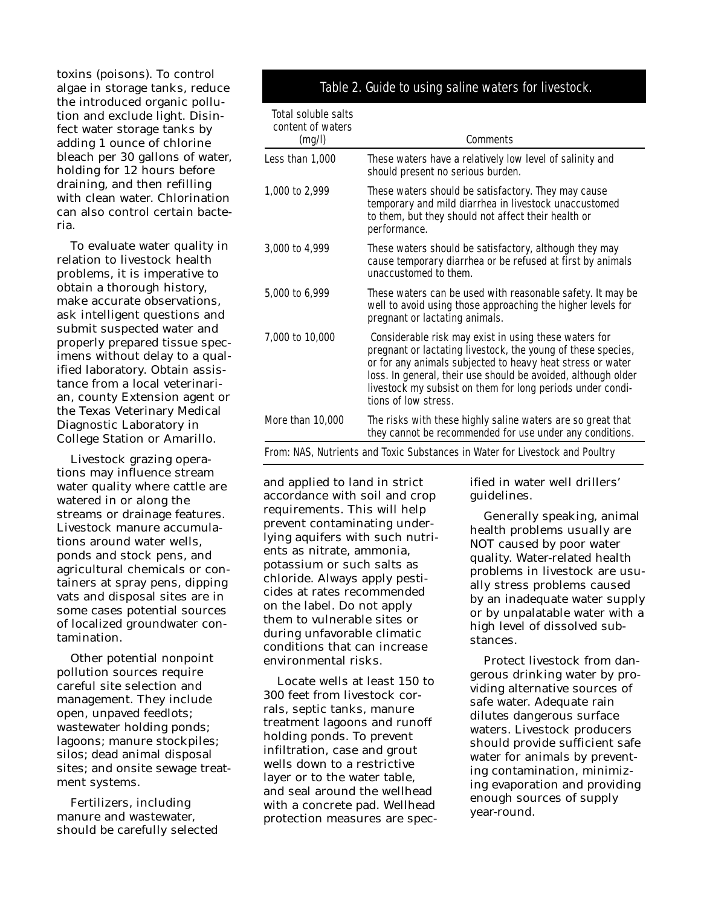toxins (poisons). To control algae in storage tanks, reduce the introduced organic pollution and exclude light. Disinfect water storage tanks by adding 1 ounce of chlorine bleach per 30 gallons of water, holding for 12 hours before draining, and then refilling with clean water. Chlorination can also control certain bacteria.

To evaluate water quality in relation to livestock health problems, it is imperative to obtain a thorough history, make accurate observations, ask intelligent questions and submit suspected water and properly prepared tissue specimens without delay to a qualified laboratory. Obtain assistance from a local veterinarian, county Extension agent or the Texas Veterinary Medical Diagnostic Laboratory in College Station or Amarillo.

Livestock grazing operations may influence stream water quality where cattle are watered in or along the streams or drainage features. Livestock manure accumulations around water wells, ponds and stock pens, and agricultural chemicals or containers at spray pens, dipping vats and disposal sites are in some cases potential sources of localized groundwater contamination.

Other potential nonpoint pollution sources require careful site selection and management. They include open, unpaved feedlots; wastewater holding ponds; lagoons; manure stockpiles; silos; dead animal disposal sites; and onsite sewage treatment systems.

Fertilizers, including manure and wastewater, should be carefully selected

## Table 2. Guide to using saline waters for livestock.

| <b>Total soluble salts</b><br>content of waters<br>(mg/l) | <b>Comments</b>                                                                                                                                                                                                                                                                                                                            |
|-----------------------------------------------------------|--------------------------------------------------------------------------------------------------------------------------------------------------------------------------------------------------------------------------------------------------------------------------------------------------------------------------------------------|
| Less than 1,000                                           | These waters have a relatively low level of salinity and<br>should present no serious burden.                                                                                                                                                                                                                                              |
| 1,000 to 2,999                                            | These waters should be satisfactory. They may cause<br>temporary and mild diarrhea in livestock unaccustomed<br>to them, but they should not affect their health or<br>performance.                                                                                                                                                        |
| 3,000 to 4,999                                            | These waters should be satisfactory, although they may<br>cause temporary diarrhea or be refused at first by animals<br>unaccustomed to them.                                                                                                                                                                                              |
| 5,000 to 6,999                                            | These waters can be used with reasonable safety. It may be<br>well to avoid using those approaching the higher levels for<br>pregnant or lactating animals.                                                                                                                                                                                |
| 7,000 to 10,000                                           | Considerable risk may exist in using these waters for<br>pregnant or lactating livestock, the young of these species,<br>or for any animals subjected to heavy heat stress or water<br>loss. In general, their use should be avoided, although older<br>livestock my subsist on them for long periods under condi-<br>tions of low stress. |
| More than 10,000                                          | The risks with these highly saline waters are so great that<br>they cannot be recommended for use under any conditions.                                                                                                                                                                                                                    |
|                                                           |                                                                                                                                                                                                                                                                                                                                            |

From: NAS, *Nutrients and Toxic Substances in Water for Livestock and Poultry*

and applied to land in strict accordance with soil and crop requirements. This will help prevent contaminating underlying aquifers with such nutrients as nitrate, ammonia, potassium or such salts as chloride. Always apply pesticides at rates recommended on the label. Do not apply them to vulnerable sites or during unfavorable climatic conditions that can increase environmental risks.

Locate wells at least 150 to 300 feet from livestock corrals, septic tanks, manure treatment lagoons and runoff holding ponds. To prevent infiltration, case and grout wells down to a restrictive layer or to the water table, and seal around the wellhead with a concrete pad. Wellhead protection measures are specified in water well drillers' guidelines.

Generally speaking, animal health problems usually are NOT caused by poor water quality. Water-related health problems in livestock are usually stress problems caused by an inadequate water supply or by unpalatable water with a high level of dissolved substances.

Protect livestock from dangerous drinking water by providing alternative sources of safe water. Adequate rain dilutes dangerous surface waters. Livestock producers should provide sufficient safe water for animals by preventing contamination, minimizing evaporation and providing enough sources of supply year-round.